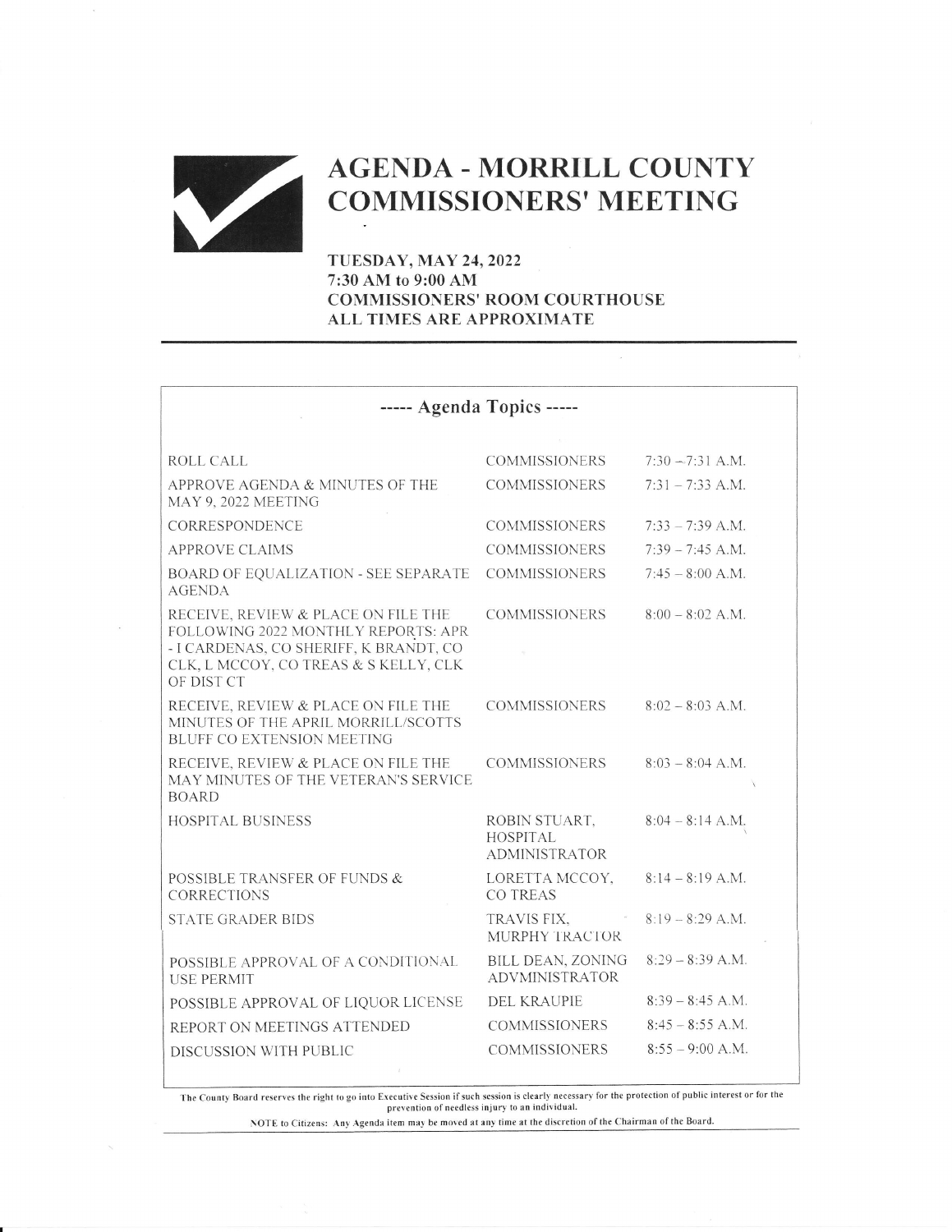

## AGENDA - MORRILL COUNTY<br>COMMISSIONERS' MEETING

TUESDAY, MAY 24,2022 7:30 AM to 9:00 AM COMNIISSIONERS' ROOM COURTHOUSE ALL TIMES ARE APPROXIMATE

| ----- Agenda Topics -----                                                                                                                                                   |                                                          |                    |
|-----------------------------------------------------------------------------------------------------------------------------------------------------------------------------|----------------------------------------------------------|--------------------|
| ROLL CALL                                                                                                                                                                   | <b>COMMISSIONERS</b>                                     | $7:30 - 7:31$ A.M. |
| APPROVE AGENDA & MINUTES OF THE<br>MAY 9, 2022 MEETING                                                                                                                      | <b>COMMISSIONERS</b>                                     | $7:31 - 7:33$ A.M. |
| CORRESPONDENCE                                                                                                                                                              | <b>COMMISSIONERS</b>                                     | $7:33 - 7:39$ A.M. |
| <b>APPROVE CLAIMS</b>                                                                                                                                                       | <b>COMMISSIONERS</b>                                     | $7:39 - 7:45$ A.M. |
| BOARD OF EQUALIZATION - SEE SEPARATE<br><b>AGENDA</b>                                                                                                                       | <b>COMMISSIONERS</b>                                     | $7:45 - 8:00$ A.M. |
| RECEIVE, REVIEW & PLACE ON FILE THE<br>FOLLOWING 2022 MONTHLY REPORTS: APR<br>- I CARDENAS, CO SHERIFF, K BRANDT, CO<br>CLK, L MCCOY, CO TREAS & S KELLY, CLK<br>OF DIST CT | <b>COMMISSIONERS</b>                                     | $8.00 - 8.02$ A M  |
| RECEIVE, REVIEW & PLACE ON FILE THE<br>MINUTES OF THE APRIL MORRILL/SCOTTS<br><b>BLUFF CO EXTENSION MEETING</b>                                                             | COMMISSIONERS                                            | $8:02 - 8:03$ A.M. |
| RECEIVE, REVIEW & PLACE ON FILE THE<br>MAY MINUTES OF THE VETERAN'S SERVICE<br><b>BOARD</b>                                                                                 | <b>COMMISSIONERS</b>                                     | $8:03 - 8:04$ A.M. |
| <b>HOSPITAL BUSINESS</b>                                                                                                                                                    | ROBIN STUART,<br><b>HOSPITAL</b><br><b>ADMINISTRATOR</b> | $8:04 - 8:14$ A.M. |
| POSSIBLE TRANSFER OF FUNDS &<br><b>CORRECTIONS</b>                                                                                                                          | LORETTA MCCOY,<br>CO TREAS                               | $8:14 - 8:19$ A.M. |
| <b>STATE GRADER BIDS</b>                                                                                                                                                    | TRAVIS FIX,<br>MURPHY TRACTOR                            | $8:19 - 8:29$ A.M. |
| POSSIBLE APPROVAL OF A CONDITIONAL<br><b>USE PERMIT</b>                                                                                                                     | <b>BILL DEAN, ZONING</b><br><b>ADVMINISTRATOR</b>        | $8:29 - 8:39$ A.M. |
| POSSIBLE APPROVAL OF LIQUOR LICENSE                                                                                                                                         | <b>DEL KRAUPIE</b>                                       | $8:39 - 8:45$ A.M. |
| REPORT ON MEETINGS ATTENDED                                                                                                                                                 | <b>COMMISSIONERS</b>                                     | $8:45 - 8:55$ A.M. |
| DISCUSSION WITH PUBLIC                                                                                                                                                      | <b>COMMISSIONERS</b>                                     | $8:55 - 9:00$ A.M. |

The County Board reserves the right to go into Executive Session if such session is clearly necessary for the protection of public interest or for the protection of public interest or for the protection of needless injury

NOTE to Citizens: Any Agenda item may be moved at any time at the discretion of the Chairman of the Board.